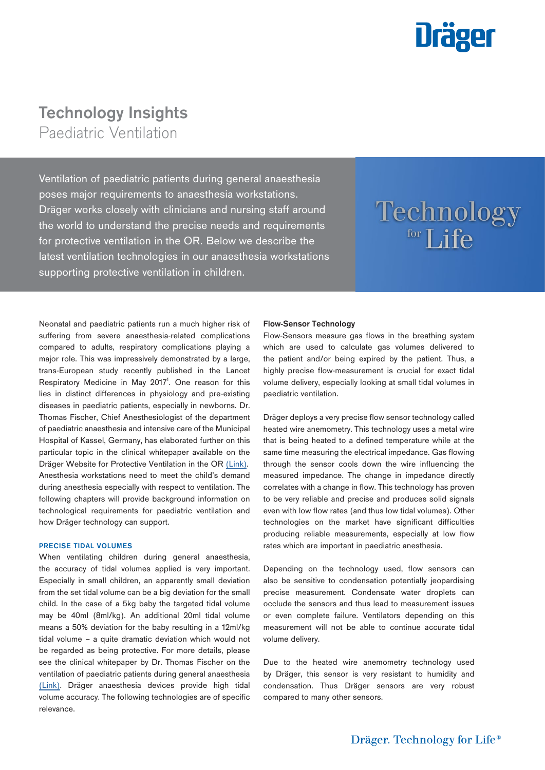

# **Technology Insights**

Paediatric Ventilation

Ventilation of paediatric patients during general anaesthesia poses major requirements to anaesthesia workstations. Dräger works closely with clinicians and nursing staff around the world to understand the precise needs and requirements for protective ventilation in the OR. Below we describe the latest ventilation technologies in our anaesthesia workstations supporting protective ventilation in children.

# Technology for Life

Neonatal and paediatric patients run a much higher risk of suffering from severe anaesthesia-related complications compared to adults, respiratory complications playing a major role. This was impressively demonstrated by a large, trans-European study recently published in the Lancet Respiratory Medicine in May 2017<sup>1</sup>. One reason for this lies in distinct differences in physiology and pre-existing diseases in paediatric patients, especially in newborns. Dr. Thomas Fischer, Chief Anesthesiologist of the department of paediatric anaesthesia and intensive care of the Municipal Hospital of Kassel, Germany, has elaborated further on this particular topic in the clinical whitepaper available on the Dräger Website for Protective Ventilation in the OR [\(Link](https://www.draeger.com/Library/Content/paediatric-ventilation-wp-9104859-en.pdf)). Anesthesia workstations need to meet the child's demand during anesthesia especially with respect to ventilation. The following chapters will provide background information on technological requirements for paediatric ventilation and how Dräger technology can support.

# PRECISE TIDAL VOLUMES

When ventilating children during general anaesthesia, the accuracy of tidal volumes applied is very important. Especially in small children, an apparently small deviation from the set tidal volume can be a big deviation for the small child. In the case of a 5kg baby the targeted tidal volume may be 40ml (8ml/kg). An additional 20ml tidal volume means a 50% deviation for the baby resulting in a 12ml/kg tidal volume – a quite dramatic deviation which would not be regarded as being protective. For more details, please see the clinical whitepaper by Dr. Thomas Fischer on the ventilation of paediatric patients during general anaesthesia ([Link](https://www.draeger.com/Library/Content/paediatric-ventilation-wp-9104859-en.pdf)). Dräger anaesthesia devices provide high tidal volume accuracy. The following technologies are of specific relevance.

# Flow-Sensor Technology

Flow-Sensors measure gas flows in the breathing system which are used to calculate gas volumes delivered to the patient and/or being expired by the patient. Thus, a highly precise flow-measurement is crucial for exact tidal volume delivery, especially looking at small tidal volumes in paediatric ventilation.

Dräger deploys a very precise flow sensor technology called heated wire anemometry. This technology uses a metal wire that is being heated to a defined temperature while at the same time measuring the electrical impedance. Gas flowing through the sensor cools down the wire influencing the measured impedance. The change in impedance directly correlates with a change in flow. This technology has proven to be very reliable and precise and produces solid signals even with low flow rates (and thus low tidal volumes). Other technologies on the market have significant difficulties producing reliable measurements, especially at low flow rates which are important in paediatric anesthesia.

Depending on the technology used, flow sensors can also be sensitive to condensation potentially jeopardising precise measurement. Condensate water droplets can occlude the sensors and thus lead to measurement issues or even complete failure. Ventilators depending on this measurement will not be able to continue accurate tidal volume delivery.

Due to the heated wire anemometry technology used by Dräger, this sensor is very resistant to humidity and condensation. Thus Dräger sensors are very robust compared to many other sensors.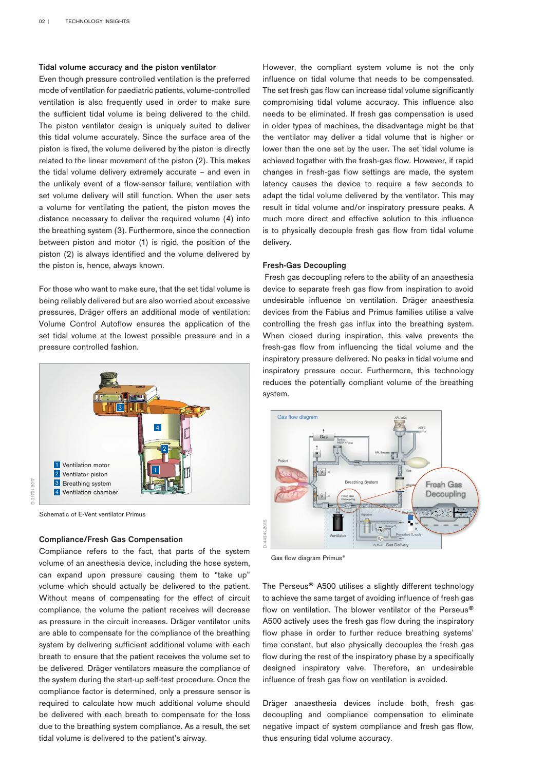# Tidal volume accuracy and the piston ventilator

Even though pressure controlled ventilation is the preferred mode of ventilation for paediatric patients, volume-controlled ventilation is also frequently used in order to make sure the sufficient tidal volume is being delivered to the child. The piston ventilator design is uniquely suited to deliver this tidal volume accurately. Since the surface area of the piston is fixed, the volume delivered by the piston is directly related to the linear movement of the piston (2). This makes the tidal volume delivery extremely accurate – and even in the unlikely event of a flow-sensor failure, ventilation with set volume delivery will still function. When the user sets a volume for ventilating the patient, the piston moves the distance necessary to deliver the required volume (4) into the breathing system (3). Furthermore, since the connection between piston and motor (1) is rigid, the position of the piston (2) is always identified and the volume delivered by the piston is, hence, always known.

For those who want to make sure, that the set tidal volume is being reliably delivered but are also worried about excessive pressures, Dräger offers an additional mode of ventilation: Volume Control Autoflow ensures the application of the set tidal volume at the lowest possible pressure and in a pressure controlled fashion.



0-21701-2017 D-21701-2017

Schematic of E-Vent ventilator Primus

## Compliance/Fresh Gas Compensation

Compliance refers to the fact, that parts of the system volume of an anesthesia device, including the hose system, can expand upon pressure causing them to "take up" volume which should actually be delivered to the patient. Without means of compensating for the effect of circuit compliance, the volume the patient receives will decrease as pressure in the circuit increases. Dräger ventilator units are able to compensate for the compliance of the breathing system by delivering sufficient additional volume with each breath to ensure that the patient receives the volume set to be delivered. Dräger ventilators measure the compliance of the system during the start-up self-test procedure. Once the compliance factor is determined, only a pressure sensor is required to calculate how much additional volume should be delivered with each breath to compensate for the loss due to the breathing system compliance. As a result, the set tidal volume is delivered to the patient's airway.

However, the compliant system volume is not the only influence on tidal volume that needs to be compensated. The set fresh gas flow can increase tidal volume significantly compromising tidal volume accuracy. This influence also needs to be eliminated. If fresh gas compensation is used in older types of machines, the disadvantage might be that the ventilator may deliver a tidal volume that is higher or lower than the one set by the user. The set tidal volume is achieved together with the fresh-gas flow. However, if rapid changes in fresh-gas flow settings are made, the system latency causes the device to require a few seconds to adapt the tidal volume delivered by the ventilator. This may result in tidal volume and/or inspiratory pressure peaks. A much more direct and effective solution to this influence is to physically decouple fresh gas flow from tidal volume delivery.

## Fresh-Gas Decoupling

 Fresh gas decoupling refers to the ability of an anaesthesia device to separate fresh gas flow from inspiration to avoid undesirable influence on ventilation. Dräger anaesthesia devices from the Fabius and Primus families utilise a valve controlling the fresh gas influx into the breathing system. When closed during inspiration, this valve prevents the fresh-gas flow from influencing the tidal volume and the inspiratory pressure delivered. No peaks in tidal volume and inspiratory pressure occur. Furthermore, this technology reduces the potentially compliant volume of the breathing system.



Gas flow diagram Primus®

The Perseus® A500 utilises a slightly different technology to achieve the same target of avoiding influence of fresh gas flow on ventilation. The blower ventilator of the Perseus® A500 actively uses the fresh gas flow during the inspiratory flow phase in order to further reduce breathing systems' time constant, but also physically decouples the fresh gas flow during the rest of the inspiratory phase by a specifically designed inspiratory valve. Therefore, an undesirable influence of fresh gas flow on ventilation is avoided.

Dräger anaesthesia devices include both, fresh gas decoupling and compliance compensation to eliminate negative impact of system compliance and fresh gas flow, thus ensuring tidal volume accuracy.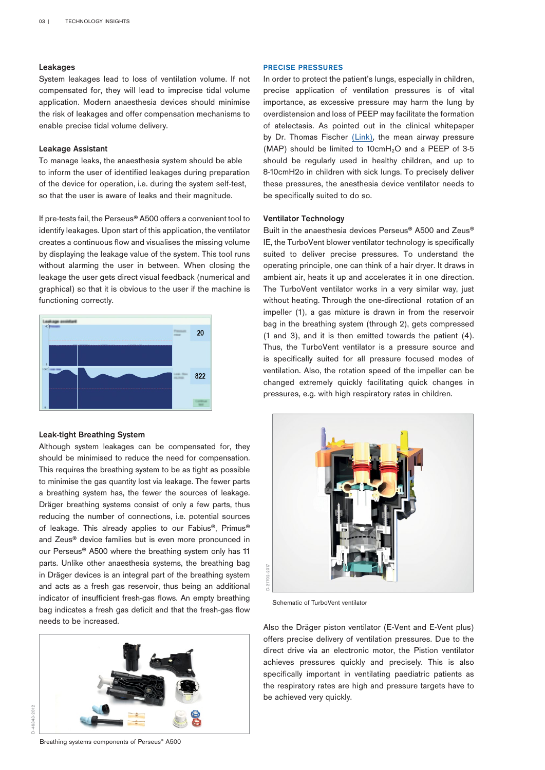# Leakages

System leakages lead to loss of ventilation volume. If not compensated for, they will lead to imprecise tidal volume application. Modern anaesthesia devices should minimise the risk of leakages and offer compensation mechanisms to enable precise tidal volume delivery.

## Leakage Assistant

To manage leaks, the anaesthesia system should be able to inform the user of identified leakages during preparation of the device for operation, i.e. during the system self-test, so that the user is aware of leaks and their magnitude.

If pre-tests fail, the Perseus® A500 offers a convenient tool to identify leakages. Upon start of this application, the ventilator creates a continuous flow and visualises the missing volume by displaying the leakage value of the system. This tool runs without alarming the user in between. When closing the leakage the user gets direct visual feedback (numerical and graphical) so that it is obvious to the user if the machine is functioning correctly.



### Leak-tight Breathing System

Although system leakages can be compensated for, they should be minimised to reduce the need for compensation. This requires the breathing system to be as tight as possible to minimise the gas quantity lost via leakage. The fewer parts a breathing system has, the fewer the sources of leakage. Dräger breathing systems consist of only a few parts, thus reducing the number of connections, i.e. potential sources of leakage. This already applies to our Fabius®, Primus® and Zeus® device families but is even more pronounced in our Perseus® A500 where the breathing system only has 11 parts. Unlike other anaesthesia systems, the breathing bag in Dräger devices is an integral part of the breathing system and acts as a fresh gas reservoir, thus being an additional indicator of insufficient fresh-gas flows. An empty breathing bag indicates a fresh gas deficit and that the fresh-gas flow needs to be increased.



### PRECISE PRESSURES

In order to protect the patient's lungs, especially in children, precise application of ventilation pressures is of vital importance, as excessive pressure may harm the lung by overdistension and loss of PEEP may facilitate the formation of atelectasis. As pointed out in the clinical whitepaper by Dr. Thomas Fischer ([Link\)](https://www.draeger.com/Library/Content/paediatric-ventilation-wp-9104859-en.pdf), the mean airway pressure (MAP) should be limited to  $10$ cmH<sub>2</sub>O and a PEEP of 3-5 should be regularly used in healthy children, and up to 8-10cmH2o in children with sick lungs. To precisely deliver these pressures, the anesthesia device ventilator needs to be specifically suited to do so.

## Ventilator Technology

Built in the anaesthesia devices Perseus® A500 and Zeus® IE, the TurboVent blower ventilator technology is specifically suited to deliver precise pressures. To understand the operating principle, one can think of a hair dryer. It draws in ambient air, heats it up and accelerates it in one direction. The TurboVent ventilator works in a very similar way, just without heating. Through the one-directional rotation of an impeller (1), a gas mixture is drawn in from the reservoir bag in the breathing system (through 2), gets compressed (1 and 3), and it is then emitted towards the patient (4). Thus, the TurboVent ventilator is a pressure source and is specifically suited for all pressure focused modes of ventilation. Also, the rotation speed of the impeller can be changed extremely quickly facilitating quick changes in pressures, e.g. with high respiratory rates in children.



Schematic of TurboVent ventilator

Also the Dräger piston ventilator (E-Vent and E-Vent plus) offers precise delivery of ventilation pressures. Due to the direct drive via an electronic motor, the Pistion ventilator achieves pressures quickly and precisely. This is also specifically important in ventilating paediatric patients as the respiratory rates are high and pressure targets have to be achieved very quickly.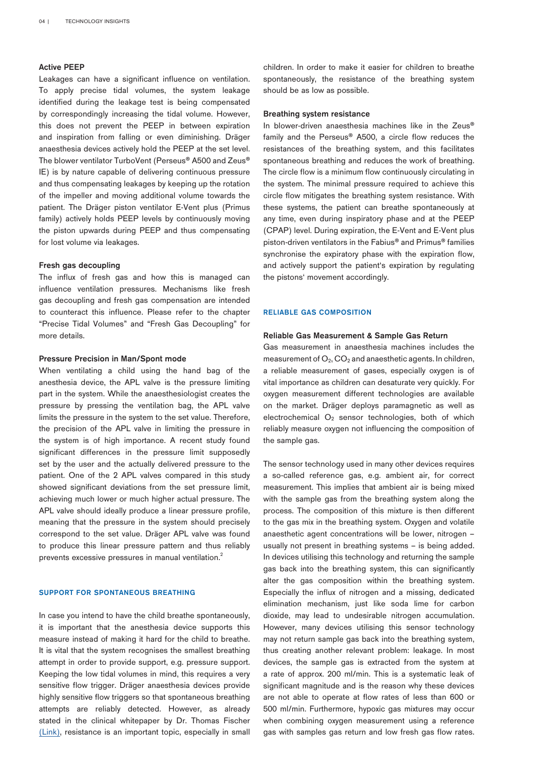# Active PEEP

Leakages can have a significant influence on ventilation. To apply precise tidal volumes, the system leakage identified during the leakage test is being compensated by correspondingly increasing the tidal volume. However, this does not prevent the PEEP in between expiration and inspiration from falling or even diminishing. Dräger anaesthesia devices actively hold the PEEP at the set level. The blower ventilator TurboVent (Perseus® A500 and Zeus® IE) is by nature capable of delivering continuous pressure and thus compensating leakages by keeping up the rotation of the impeller and moving additional volume towards the patient. The Dräger piston ventilator E-Vent plus (Primus family) actively holds PEEP levels by continuously moving the piston upwards during PEEP and thus compensating for lost volume via leakages.

## Fresh gas decoupling

The influx of fresh gas and how this is managed can influence ventilation pressures. Mechanisms like fresh gas decoupling and fresh gas compensation are intended to counteract this influence. Please refer to the chapter "Precise Tidal Volumes" and "Fresh Gas Decoupling" for more details.

### Pressure Precision in Man/Spont mode

When ventilating a child using the hand bag of the anesthesia device, the APL valve is the pressure limiting part in the system. While the anaesthesiologist creates the pressure by pressing the ventilation bag, the APL valve limits the pressure in the system to the set value. Therefore, the precision of the APL valve in limiting the pressure in the system is of high importance. A recent study found significant differences in the pressure limit supposedly set by the user and the actually delivered pressure to the patient. One of the 2 APL valves compared in this study showed significant deviations from the set pressure limit, achieving much lower or much higher actual pressure. The APL valve should ideally produce a linear pressure profile, meaning that the pressure in the system should precisely correspond to the set value. Dräger APL valve was found to produce this linear pressure pattern and thus reliably prevents excessive pressures in manual ventilation.<sup>2</sup>

#### SUPPORT FOR SPONTANEOUS BREATHING

In case you intend to have the child breathe spontaneously, it is important that the anesthesia device supports this measure instead of making it hard for the child to breathe. It is vital that the system recognises the smallest breathing attempt in order to provide support, e.g. pressure support. Keeping the low tidal volumes in mind, this requires a very sensitive flow trigger. Dräger anaesthesia devices provide highly sensitive flow triggers so that spontaneous breathing attempts are reliably detected. However, as already stated in the clinical whitepaper by Dr. Thomas Fischer ([Link](https://www.draeger.com/Library/Content/paediatric-ventilation-wp-9104859-en.pdf
)), resistance is an important topic, especially in small

children. In order to make it easier for children to breathe spontaneously, the resistance of the breathing system should be as low as possible.

# Breathing system resistance

In blower-driven anaesthesia machines like in the Zeus® family and the Perseus® A500, a circle flow reduces the resistances of the breathing system, and this facilitates spontaneous breathing and reduces the work of breathing. The circle flow is a minimum flow continuously circulating in the system. The minimal pressure required to achieve this circle flow mitigates the breathing system resistance. With these systems, the patient can breathe spontaneously at any time, even during inspiratory phase and at the PEEP (CPAP) level. During expiration, the E-Vent and E-Vent plus piston-driven ventilators in the Fabius® and Primus® families synchronise the expiratory phase with the expiration flow, and actively support the patient's expiration by regulating the pistons' movement accordingly.

#### RELIABLE GAS COMPOSITION

### Reliable Gas Measurement & Sample Gas Return

Gas measurement in anaesthesia machines includes the measurement of  $O_2$ ,  $CO_2$  and anaesthetic agents. In children, a reliable measurement of gases, especially oxygen is of vital importance as children can desaturate very quickly. For oxygen measurement different technologies are available on the market. Dräger deploys paramagnetic as well as electrochemical  $O_2$  sensor technologies, both of which reliably measure oxygen not influencing the composition of the sample gas.

The sensor technology used in many other devices requires a so-called reference gas, e.g. ambient air, for correct measurement. This implies that ambient air is being mixed with the sample gas from the breathing system along the process. The composition of this mixture is then different to the gas mix in the breathing system. Oxygen and volatile anaesthetic agent concentrations will be lower, nitrogen – usually not present in breathing systems – is being added. In devices utilising this technology and returning the sample gas back into the breathing system, this can significantly alter the gas composition within the breathing system. Especially the influx of nitrogen and a missing, dedicated elimination mechanism, just like soda lime for carbon dioxide, may lead to undesirable nitrogen accumulation. However, many devices utilising this sensor technology may not return sample gas back into the breathing system, thus creating another relevant problem: leakage. In most devices, the sample gas is extracted from the system at a rate of approx. 200 ml/min. This is a systematic leak of significant magnitude and is the reason why these devices are not able to operate at flow rates of less than 600 or 500 ml/min. Furthermore, hypoxic gas mixtures may occur when combining oxygen measurement using a reference gas with samples gas return and low fresh gas flow rates.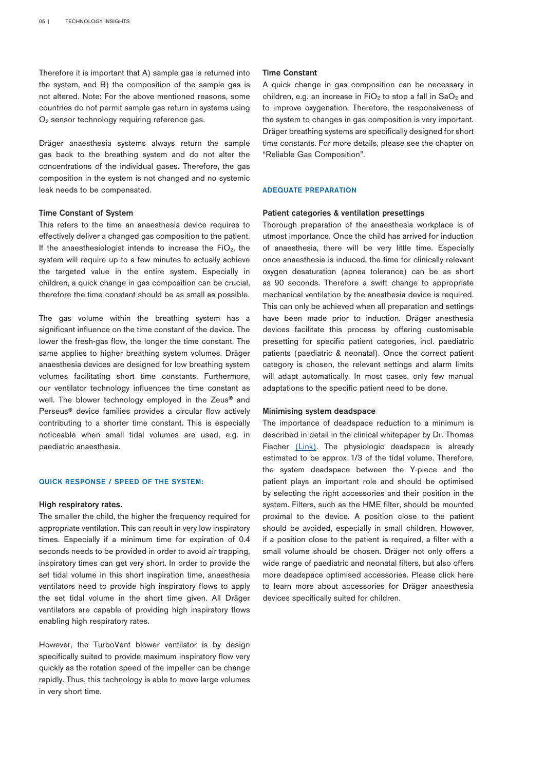Therefore it is important that A) sample gas is returned into the system, and B) the composition of the sample gas is not altered. Note: For the above mentioned reasons, some countries do not permit sample gas return in systems using O<sub>2</sub> sensor technology requiring reference gas.

Dräger anaesthesia systems always return the sample gas back to the breathing system and do not alter the concentrations of the individual gases. Therefore, the gas composition in the system is not changed and no systemic leak needs to be compensated.

# Time Constant of System

This refers to the time an anaesthesia device requires to effectively deliver a changed gas composition to the patient. If the anaesthesiologist intends to increase the  $FiO<sub>2</sub>$ , the system will require up to a few minutes to actually achieve the targeted value in the entire system. Especially in children, a quick change in gas composition can be crucial, therefore the time constant should be as small as possible.

The gas volume within the breathing system has a significant influence on the time constant of the device. The lower the fresh-gas flow, the longer the time constant. The same applies to higher breathing system volumes. Dräger anaesthesia devices are designed for low breathing system volumes facilitating short time constants. Furthermore, our ventilator technology influences the time constant as well. The blower technology employed in the Zeus<sup>®</sup> and Perseus® device families provides a circular flow actively contributing to a shorter time constant. This is especially noticeable when small tidal volumes are used, e.g. in paediatric anaesthesia.

#### QUICK RESPONSE / SPEED OF THE SYSTEM:

#### High respiratory rates.

The smaller the child, the higher the frequency required for appropriate ventilation. This can result in very low inspiratory times. Especially if a minimum time for expiration of 0.4 seconds needs to be provided in order to avoid air trapping, inspiratory times can get very short. In order to provide the set tidal volume in this short inspiration time, anaesthesia ventilators need to provide high inspiratory flows to apply the set tidal volume in the short time given. All Dräger ventilators are capable of providing high inspiratory flows enabling high respiratory rates.

However, the TurboVent blower ventilator is by design specifically suited to provide maximum inspiratory flow very quickly as the rotation speed of the impeller can be change rapidly. Thus, this technology is able to move large volumes in very short time.

#### Time Constant

A quick change in gas composition can be necessary in children, e.g. an increase in  $FiO<sub>2</sub>$  to stop a fall in  $SaO<sub>2</sub>$  and to improve oxygenation. Therefore, the responsiveness of the system to changes in gas composition is very important. Dräger breathing systems are specifically designed for short time constants. For more details, please see the chapter on "Reliable Gas Composition".

## ADEQUATE PREPARATION

#### Patient categories & ventilation presettings

Thorough preparation of the anaesthesia workplace is of utmost importance. Once the child has arrived for induction of anaesthesia, there will be very little time. Especially once anaesthesia is induced, the time for clinically relevant oxygen desaturation (apnea tolerance) can be as short as 90 seconds. Therefore a swift change to appropriate mechanical ventilation by the anesthesia device is required. This can only be achieved when all preparation and settings have been made prior to induction. Dräger anesthesia devices facilitate this process by offering customisable presetting for specific patient categories, incl. paediatric patients (paediatric & neonatal). Once the correct patient category is chosen, the relevant settings and alarm limits will adapt automatically. In most cases, only few manual adaptations to the specific patient need to be done.

### Minimising system deadspace

The importance of deadspace reduction to a minimum is described in detail in the clinical whitepaper by Dr. Thomas Fischer [\(Link](https://www.draeger.com/Library/Content/paediatric-ventilation-wp-9104859-en.pdf)). The physiologic deadspace is already estimated to be approx. 1/3 of the tidal volume. Therefore, the system deadspace between the Y-piece and the patient plays an important role and should be optimised by selecting the right accessories and their position in the system. Filters, such as the HME filter, should be mounted proximal to the device. A position close to the patient should be avoided, especially in small children. However, if a position close to the patient is required, a filter with a small volume should be chosen. Dräger not only offers a wide range of paediatric and neonatal filters, but also offers more deadspace optimised accessories. Please click here to learn more about accessories for Dräger anaesthesia devices specifically suited for children.